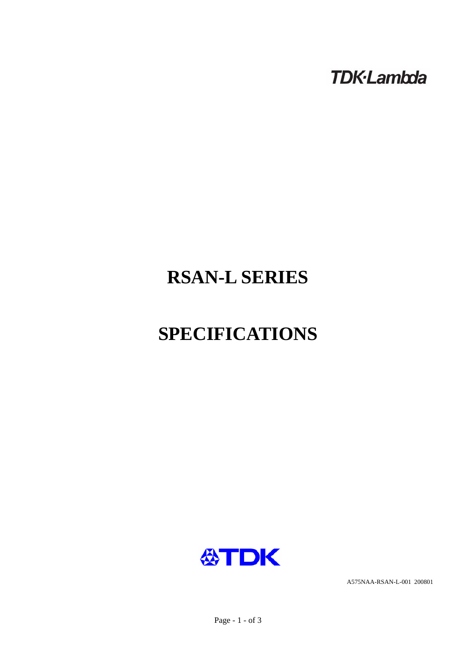**TDK-Lambda** 

# **RSAN-L SERIES**

# **SPECIFICATIONS**



A575NAA-RSAN-L-001 200801

Page - 1 - of 3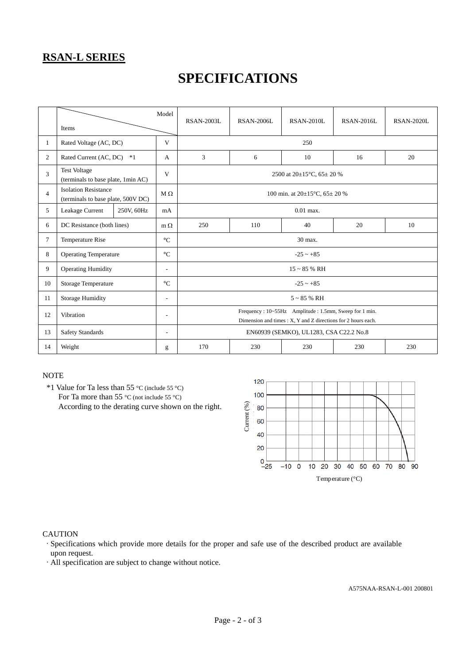### **RSAN-L SERIES**

## **SPECIFICATIONS**

|                | Items                                                             |            | Model                    | <b>RSAN-2003L</b>                                                                                                      | <b>RSAN-2006L</b> | <b>RSAN-2010L</b> | RSAN-2016L | <b>RSAN-2020L</b> |  |  |
|----------------|-------------------------------------------------------------------|------------|--------------------------|------------------------------------------------------------------------------------------------------------------------|-------------------|-------------------|------------|-------------------|--|--|
| $\mathbf{1}$   | Rated Voltage (AC, DC)                                            |            | V                        | 250                                                                                                                    |                   |                   |            |                   |  |  |
| 2              | Rated Current (AC, DC)<br>$*1$                                    |            | A                        | 3                                                                                                                      | 6                 | 10                | 16         | 20                |  |  |
| 3              | <b>Test Voltage</b><br>(terminals to base plate, 1min AC)         |            | V                        | 2500 at $20\pm15^{\circ}$ C, 65 $\pm$ 20 %                                                                             |                   |                   |            |                   |  |  |
| $\overline{4}$ | <b>Isolation Resistance</b><br>(terminals to base plate, 500V DC) |            | $M \Omega$               | 100 min. at $20\pm15^{\circ}$ C, $65\pm20$ %                                                                           |                   |                   |            |                   |  |  |
| 5              | Leakage Current                                                   | 250V, 60Hz | mA                       | $0.01$ max.                                                                                                            |                   |                   |            |                   |  |  |
| 6              | DC Resistance (both lines)                                        |            | $m \Omega$               | 250                                                                                                                    | 110               | 40                | 20         | 10                |  |  |
| $\tau$         | Temperature Rise                                                  |            | $\rm ^{\circ}C$          | 30 max.                                                                                                                |                   |                   |            |                   |  |  |
| 8              | <b>Operating Temperature</b>                                      |            | $\rm ^{\circ}C$          | $-25 - +85$                                                                                                            |                   |                   |            |                   |  |  |
| 9              | <b>Operating Humidity</b>                                         |            | $\overline{\phantom{a}}$ | $15 \sim 85$ % RH                                                                                                      |                   |                   |            |                   |  |  |
| 10             | Storage Temperature                                               |            | $\rm ^{\circ}C$          | $-25 \sim +85$                                                                                                         |                   |                   |            |                   |  |  |
| 11             | <b>Storage Humidity</b>                                           |            | $\overline{a}$           | $5 \sim 85 \%$ RH                                                                                                      |                   |                   |            |                   |  |  |
| 12             | Vibration                                                         |            | $\overline{\phantom{a}}$ | Frequency: 10~55Hz Amplitude: 1.5mm, Sweep for 1 min.<br>Dimension and times : X, Y and Z directions for 2 hours each. |                   |                   |            |                   |  |  |
| 13             | <b>Safety Standards</b>                                           |            | $\overline{a}$           | EN60939 (SEMKO), UL1283, CSA C22.2 No.8                                                                                |                   |                   |            |                   |  |  |
| 14             | Weight                                                            |            | g                        | 170                                                                                                                    | 230               | 230               | 230        | 230               |  |  |

#### **NOTE**

 \*1 Value for Ta less than 55 °C (include 55 °C) For Ta more than 55 °C (not include 55 °C) According to the derating curve shown on the right.



#### **CAUTION**

·Specifications which provide more details for the proper and safe use of the described product are available upon request.

·All specification are subject to change without notice.

A575NAA-RSAN-L-001 200801